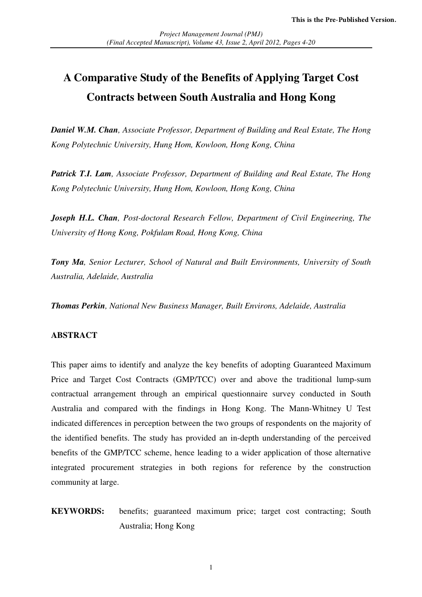# **A Comparative Study of the Benefits of Applying Target Cost Contracts between South Australia and Hong Kong**

*Daniel W.M. Chan, Associate Professor, Department of Building and Real Estate, The Hong Kong Polytechnic University, Hung Hom, Kowloon, Hong Kong, China* 

*Patrick T.I. Lam, Associate Professor, Department of Building and Real Estate, The Hong Kong Polytechnic University, Hung Hom, Kowloon, Hong Kong, China* 

*Joseph H.L. Chan, Post-doctoral Research Fellow, Department of Civil Engineering, The University of Hong Kong, Pokfulam Road, Hong Kong, China* 

*Tony Ma, Senior Lecturer, School of Natural and Built Environments, University of South Australia, Adelaide, Australia* 

*Thomas Perkin, National New Business Manager, Built Environs, Adelaide, Australia* 

#### **ABSTRACT**

This paper aims to identify and analyze the key benefits of adopting Guaranteed Maximum Price and Target Cost Contracts (GMP/TCC) over and above the traditional lump-sum contractual arrangement through an empirical questionnaire survey conducted in South Australia and compared with the findings in Hong Kong. The Mann-Whitney U Test indicated differences in perception between the two groups of respondents on the majority of the identified benefits. The study has provided an in-depth understanding of the perceived benefits of the GMP/TCC scheme, hence leading to a wider application of those alternative integrated procurement strategies in both regions for reference by the construction community at large.

**KEYWORDS:** benefits; guaranteed maximum price; target cost contracting; South Australia; Hong Kong

1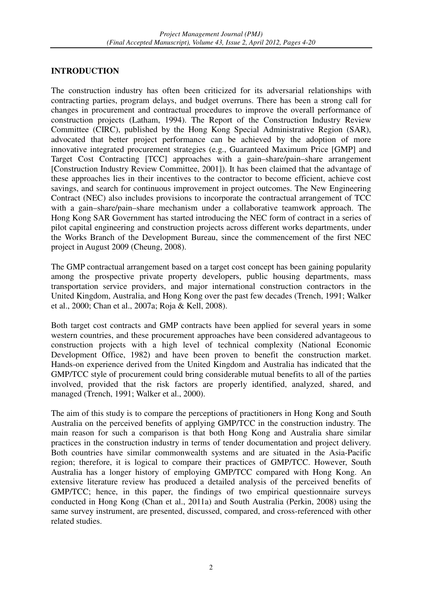#### **INTRODUCTION**

The construction industry has often been criticized for its adversarial relationships with contracting parties, program delays, and budget overruns. There has been a strong call for changes in procurement and contractual procedures to improve the overall performance of construction projects (Latham, 1994). The Report of the Construction Industry Review Committee (CIRC), published by the Hong Kong Special Administrative Region (SAR), advocated that better project performance can be achieved by the adoption of more innovative integrated procurement strategies (e.g., Guaranteed Maximum Price [GMP] and Target Cost Contracting [TCC] approaches with a gain–share/pain–share arrangement [Construction Industry Review Committee, 2001]). It has been claimed that the advantage of these approaches lies in their incentives to the contractor to become efficient, achieve cost savings, and search for continuous improvement in project outcomes. The New Engineering Contract (NEC) also includes provisions to incorporate the contractual arrangement of TCC with a gain–share/pain–share mechanism under a collaborative teamwork approach. The Hong Kong SAR Government has started introducing the NEC form of contract in a series of pilot capital engineering and construction projects across different works departments, under the Works Branch of the Development Bureau, since the commencement of the first NEC project in August 2009 (Cheung, 2008).

The GMP contractual arrangement based on a target cost concept has been gaining popularity among the prospective private property developers, public housing departments, mass transportation service providers, and major international construction contractors in the United Kingdom, Australia, and Hong Kong over the past few decades (Trench, 1991; Walker et al., 2000; Chan et al., 2007a; Roja & Kell, 2008).

Both target cost contracts and GMP contracts have been applied for several years in some western countries, and these procurement approaches have been considered advantageous to construction projects with a high level of technical complexity (National Economic Development Office, 1982) and have been proven to benefit the construction market. Hands-on experience derived from the United Kingdom and Australia has indicated that the GMP/TCC style of procurement could bring considerable mutual benefits to all of the parties involved, provided that the risk factors are properly identified, analyzed, shared, and managed (Trench, 1991; Walker et al., 2000).

The aim of this study is to compare the perceptions of practitioners in Hong Kong and South Australia on the perceived benefits of applying GMP/TCC in the construction industry. The main reason for such a comparison is that both Hong Kong and Australia share similar practices in the construction industry in terms of tender documentation and project delivery. Both countries have similar commonwealth systems and are situated in the Asia-Pacific region; therefore, it is logical to compare their practices of GMP/TCC. However, South Australia has a longer history of employing GMP/TCC compared with Hong Kong. An extensive literature review has produced a detailed analysis of the perceived benefits of GMP/TCC; hence, in this paper, the findings of two empirical questionnaire surveys conducted in Hong Kong (Chan et al., 2011a) and South Australia (Perkin, 2008) using the same survey instrument, are presented, discussed, compared, and cross-referenced with other related studies.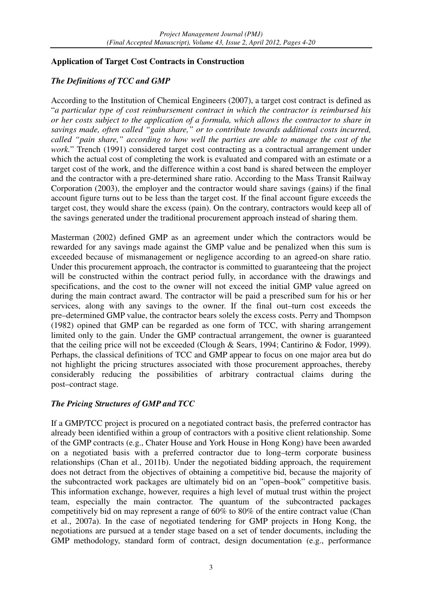# **Application of Target Cost Contracts in Construction**

# *The Definitions of TCC and GMP*

According to the Institution of Chemical Engineers (2007), a target cost contract is defined as "*a particular type of cost reimbursement contract in which the contractor is reimbursed his or her costs subject to the application of a formula, which allows the contractor to share in savings made, often called "gain share," or to contribute towards additional costs incurred, called "pain share," according to how well the parties are able to manage the cost of the work.*" Trench (1991) considered target cost contracting as a contractual arrangement under which the actual cost of completing the work is evaluated and compared with an estimate or a target cost of the work, and the difference within a cost band is shared between the employer and the contractor with a pre-determined share ratio. According to the Mass Transit Railway Corporation (2003), the employer and the contractor would share savings (gains) if the final account figure turns out to be less than the target cost. If the final account figure exceeds the target cost, they would share the excess (pain). On the contrary, contractors would keep all of the savings generated under the traditional procurement approach instead of sharing them.

Masterman (2002) defined GMP as an agreement under which the contractors would be rewarded for any savings made against the GMP value and be penalized when this sum is exceeded because of mismanagement or negligence according to an agreed-on share ratio. Under this procurement approach, the contractor is committed to guaranteeing that the project will be constructed within the contract period fully, in accordance with the drawings and specifications, and the cost to the owner will not exceed the initial GMP value agreed on during the main contract award. The contractor will be paid a prescribed sum for his or her services, along with any savings to the owner. If the final out–turn cost exceeds the pre–determined GMP value, the contractor bears solely the excess costs. Perry and Thompson (1982) opined that GMP can be regarded as one form of TCC, with sharing arrangement limited only to the gain. Under the GMP contractual arrangement, the owner is guaranteed that the ceiling price will not be exceeded (Clough & Sears, 1994; Cantirino & Fodor, 1999). Perhaps, the classical definitions of TCC and GMP appear to focus on one major area but do not highlight the pricing structures associated with those procurement approaches, thereby considerably reducing the possibilities of arbitrary contractual claims during the post–contract stage.

# *The Pricing Structures of GMP and TCC*

If a GMP/TCC project is procured on a negotiated contract basis, the preferred contractor has already been identified within a group of contractors with a positive client relationship. Some of the GMP contracts (e.g., Chater House and York House in Hong Kong) have been awarded on a negotiated basis with a preferred contractor due to long–term corporate business relationships (Chan et al., 2011b). Under the negotiated bidding approach, the requirement does not detract from the objectives of obtaining a competitive bid, because the majority of the subcontracted work packages are ultimately bid on an "open–book" competitive basis. This information exchange, however, requires a high level of mutual trust within the project team, especially the main contractor. The quantum of the subcontracted packages competitively bid on may represent a range of 60% to 80% of the entire contract value (Chan et al., 2007a). In the case of negotiated tendering for GMP projects in Hong Kong, the negotiations are pursued at a tender stage based on a set of tender documents, including the GMP methodology, standard form of contract, design documentation (e.g., performance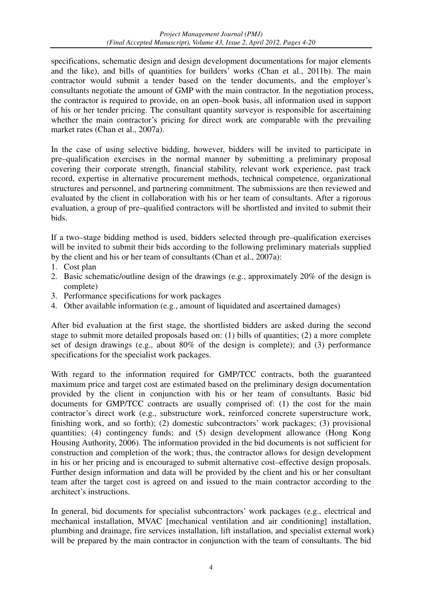specifications, schematic design and design development documentations for major elements and the like), and bills of quantities for builders' works (Chan et al., 2011b). The main contractor would submit a tender based on the tender documents, and the employer's consultants negotiate the amount of GMP with the main contractor. In the negotiation process, the contractor is required to provide, on an open–book basis, all information used in support of his or her tender pricing. The consultant quantity surveyor is responsible for ascertaining whether the main contractor's pricing for direct work are comparable with the prevailing market rates (Chan et al., 2007a).

In the case of using selective bidding, however, bidders will be invited to participate in pre–qualification exercises in the normal manner by submitting a preliminary proposal covering their corporate strength, financial stability, relevant work experience, past track record, expertise in alternative procurement methods, technical competence, organizational structures and personnel, and partnering commitment. The submissions are then reviewed and evaluated by the client in collaboration with his or her team of consultants. After a rigorous evaluation, a group of pre–qualified contractors will be shortlisted and invited to submit their bids.

If a two–stage bidding method is used, bidders selected through pre–qualification exercises will be invited to submit their bids according to the following preliminary materials supplied by the client and his or her team of consultants (Chan et al., 2007a):

- 1. Cost plan
- 2. Basic schematic/outline design of the drawings (e.g., approximately 20% of the design is complete)
- 3. Performance specifications for work packages
- 4. Other available information (e.g., amount of liquidated and ascertained damages)

After bid evaluation at the first stage, the shortlisted bidders are asked during the second stage to submit more detailed proposals based on: (1) bills of quantities; (2) a more complete set of design drawings (e.g., about 80% of the design is complete); and (3) performance specifications for the specialist work packages.

With regard to the information required for GMP/TCC contracts, both the guaranteed maximum price and target cost are estimated based on the preliminary design documentation provided by the client in conjunction with his or her team of consultants. Basic bid documents for GMP/TCC contracts are usually comprised of: (1) the cost for the main contractor's direct work (e.g., substructure work, reinforced concrete superstructure work, finishing work, and so forth); (2) domestic subcontractors' work packages; (3) provisional quantities; (4) contingency funds; and (5) design development allowance (Hong Kong Housing Authority, 2006). The information provided in the bid documents is not sufficient for construction and completion of the work; thus, the contractor allows for design development in his or her pricing and is encouraged to submit alternative cost–effective design proposals. Further design information and data will be provided by the client and his or her consultant team after the target cost is agreed on and issued to the main contractor according to the architect's instructions.

In general, bid documents for specialist subcontractors' work packages (e.g., electrical and mechanical installation, MVAC [mechanical ventilation and air conditioning] installation, plumbing and drainage, fire services installation, lift installation, and specialist external work) will be prepared by the main contractor in conjunction with the team of consultants. The bid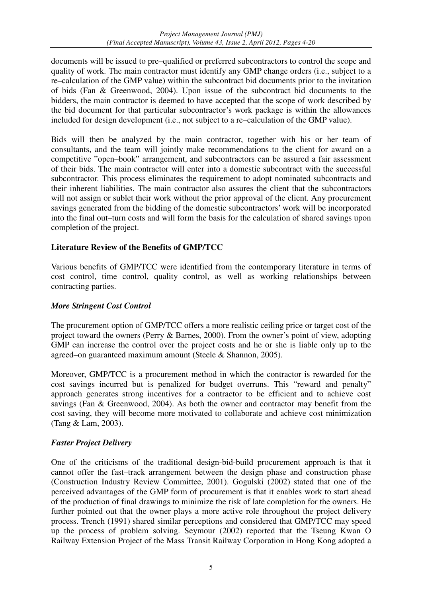documents will be issued to pre–qualified or preferred subcontractors to control the scope and quality of work. The main contractor must identify any GMP change orders (i.e., subject to a re–calculation of the GMP value) within the subcontract bid documents prior to the invitation of bids (Fan & Greenwood, 2004). Upon issue of the subcontract bid documents to the bidders, the main contractor is deemed to have accepted that the scope of work described by the bid document for that particular subcontractor's work package is within the allowances included for design development (i.e., not subject to a re–calculation of the GMP value).

Bids will then be analyzed by the main contractor, together with his or her team of consultants, and the team will jointly make recommendations to the client for award on a competitive "open–book" arrangement, and subcontractors can be assured a fair assessment of their bids. The main contractor will enter into a domestic subcontract with the successful subcontractor. This process eliminates the requirement to adopt nominated subcontracts and their inherent liabilities. The main contractor also assures the client that the subcontractors will not assign or sublet their work without the prior approval of the client. Any procurement savings generated from the bidding of the domestic subcontractors' work will be incorporated into the final out–turn costs and will form the basis for the calculation of shared savings upon completion of the project.

# **Literature Review of the Benefits of GMP/TCC**

Various benefits of GMP/TCC were identified from the contemporary literature in terms of cost control, time control, quality control, as well as working relationships between contracting parties.

# *More Stringent Cost Control*

The procurement option of GMP/TCC offers a more realistic ceiling price or target cost of the project toward the owners (Perry & Barnes, 2000). From the owner's point of view, adopting GMP can increase the control over the project costs and he or she is liable only up to the agreed–on guaranteed maximum amount (Steele & Shannon, 2005).

Moreover, GMP/TCC is a procurement method in which the contractor is rewarded for the cost savings incurred but is penalized for budget overruns. This "reward and penalty" approach generates strong incentives for a contractor to be efficient and to achieve cost savings (Fan & Greenwood, 2004). As both the owner and contractor may benefit from the cost saving, they will become more motivated to collaborate and achieve cost minimization (Tang & Lam, 2003).

# *Faster Project Delivery*

One of the criticisms of the traditional design-bid-build procurement approach is that it cannot offer the fast–track arrangement between the design phase and construction phase (Construction Industry Review Committee, 2001). Gogulski (2002) stated that one of the perceived advantages of the GMP form of procurement is that it enables work to start ahead of the production of final drawings to minimize the risk of late completion for the owners. He further pointed out that the owner plays a more active role throughout the project delivery process. Trench (1991) shared similar perceptions and considered that GMP/TCC may speed up the process of problem solving. Seymour (2002) reported that the Tseung Kwan O Railway Extension Project of the Mass Transit Railway Corporation in Hong Kong adopted a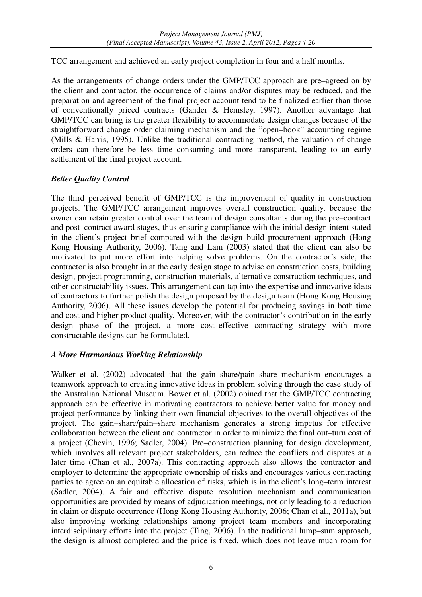TCC arrangement and achieved an early project completion in four and a half months.

As the arrangements of change orders under the GMP/TCC approach are pre–agreed on by the client and contractor, the occurrence of claims and/or disputes may be reduced, and the preparation and agreement of the final project account tend to be finalized earlier than those of conventionally priced contracts (Gander & Hemsley, 1997). Another advantage that GMP/TCC can bring is the greater flexibility to accommodate design changes because of the straightforward change order claiming mechanism and the "open–book" accounting regime (Mills & Harris, 1995). Unlike the traditional contracting method, the valuation of change orders can therefore be less time–consuming and more transparent, leading to an early settlement of the final project account.

#### *Better Quality Control*

The third perceived benefit of GMP/TCC is the improvement of quality in construction projects. The GMP/TCC arrangement improves overall construction quality, because the owner can retain greater control over the team of design consultants during the pre–contract and post–contract award stages, thus ensuring compliance with the initial design intent stated in the client's project brief compared with the design–build procurement approach (Hong Kong Housing Authority, 2006). Tang and Lam (2003) stated that the client can also be motivated to put more effort into helping solve problems. On the contractor's side, the contractor is also brought in at the early design stage to advise on construction costs, building design, project programming, construction materials, alternative construction techniques, and other constructability issues. This arrangement can tap into the expertise and innovative ideas of contractors to further polish the design proposed by the design team (Hong Kong Housing Authority, 2006). All these issues develop the potential for producing savings in both time and cost and higher product quality. Moreover, with the contractor's contribution in the early design phase of the project, a more cost–effective contracting strategy with more constructable designs can be formulated.

#### *A More Harmonious Working Relationship*

Walker et al. (2002) advocated that the gain–share/pain–share mechanism encourages a teamwork approach to creating innovative ideas in problem solving through the case study of the Australian National Museum. Bower et al. (2002) opined that the GMP/TCC contracting approach can be effective in motivating contractors to achieve better value for money and project performance by linking their own financial objectives to the overall objectives of the project. The gain–share/pain–share mechanism generates a strong impetus for effective collaboration between the client and contractor in order to minimize the final out–turn cost of a project (Chevin, 1996; Sadler, 2004). Pre–construction planning for design development, which involves all relevant project stakeholders, can reduce the conflicts and disputes at a later time (Chan et al., 2007a). This contracting approach also allows the contractor and employer to determine the appropriate ownership of risks and encourages various contracting parties to agree on an equitable allocation of risks, which is in the client's long–term interest (Sadler, 2004). A fair and effective dispute resolution mechanism and communication opportunities are provided by means of adjudication meetings, not only leading to a reduction in claim or dispute occurrence (Hong Kong Housing Authority, 2006; Chan et al., 2011a), but also improving working relationships among project team members and incorporating interdisciplinary efforts into the project (Ting, 2006). In the traditional lump–sum approach, the design is almost completed and the price is fixed, which does not leave much room for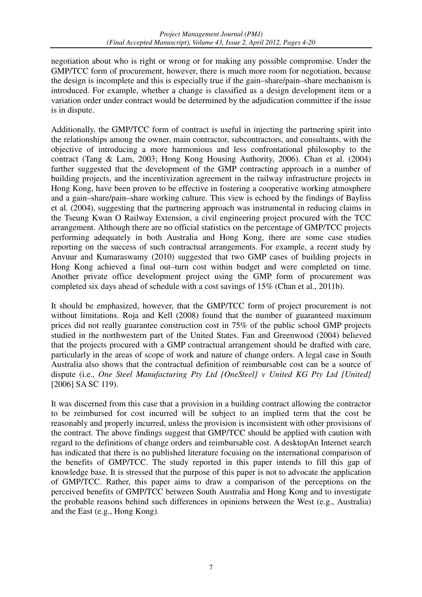negotiation about who is right or wrong or for making any possible compromise. Under the GMP/TCC form of procurement, however, there is much more room for negotiation, because the design is incomplete and this is especially true if the gain–share/pain–share mechanism is introduced. For example, whether a change is classified as a design development item or a variation order under contract would be determined by the adjudication committee if the issue is in dispute.

Additionally, the GMP/TCC form of contract is useful in injecting the partnering spirit into the relationships among the owner, main contractor, subcontractors, and consultants, with the objective of introducing a more harmonious and less confrontational philosophy to the contract (Tang & Lam, 2003; Hong Kong Housing Authority, 2006). Chan et al. (2004) further suggested that the development of the GMP contracting approach in a number of building projects, and the incentivization agreement in the railway infrastructure projects in Hong Kong, have been proven to be effective in fostering a cooperative working atmosphere and a gain–share/pain–share working culture. This view is echoed by the findings of Bayliss et al*.* (2004), suggesting that the partnering approach was instrumental in reducing claims in the Tseung Kwan O Railway Extension, a civil engineering project procured with the TCC arrangement. Although there are no official statistics on the percentage of GMP/TCC projects performing adequately in both Australia and Hong Kong, there are some case studies reporting on the success of such contractual arrangements. For example, a recent study by Anvuur and Kumaraswamy (2010) suggested that two GMP cases of building projects in Hong Kong achieved a final out–turn cost within budget and were completed on time. Another private office development project using the GMP form of procurement was completed six days ahead of schedule with a cost savings of 15% (Chan et al., 2011b).

It should be emphasized, however, that the GMP/TCC form of project procurement is not without limitations. Roja and Kell (2008) found that the number of guaranteed maximum prices did not really guarantee construction cost in 75% of the public school GMP projects studied in the northwestern part of the United States. Fan and Greenwood (2004) believed that the projects procured with a GMP contractual arrangement should be drafted with care, particularly in the areas of scope of work and nature of change orders. A legal case in South Australia also shows that the contractual definition of reimbursable cost can be a source of dispute (i.e., *One Steel Manufacturing Pty Ltd [OneSteel] v United KG Pty Ltd [United]* [2006] SA SC 119).

It was discerned from this case that a provision in a building contract allowing the contractor to be reimbursed for cost incurred will be subject to an implied term that the cost be reasonably and properly incurred, unless the provision is inconsistent with other provisions of the contract. The above findings suggest that GMP/TCC should be applied with caution with regard to the definitions of change orders and reimbursable cost. A desktopAn Internet search has indicated that there is no published literature focusing on the international comparison of the benefits of GMP/TCC. The study reported in this paper intends to fill this gap of knowledge base. It is stressed that the purpose of this paper is not to advocate the application of GMP/TCC. Rather, this paper aims to draw a comparison of the perceptions on the perceived benefits of GMP/TCC between South Australia and Hong Kong and to investigate the probable reasons behind such differences in opinions between the West (e.g., Australia) and the East (e.g., Hong Kong).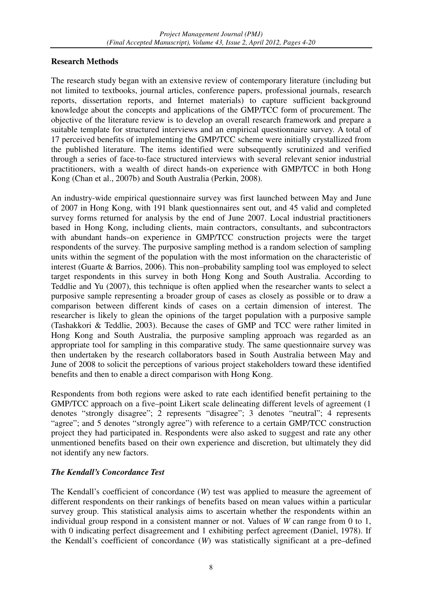# **Research Methods**

The research study began with an extensive review of contemporary literature (including but not limited to textbooks, journal articles, conference papers, professional journals, research reports, dissertation reports, and Internet materials) to capture sufficient background knowledge about the concepts and applications of the GMP/TCC form of procurement. The objective of the literature review is to develop an overall research framework and prepare a suitable template for structured interviews and an empirical questionnaire survey. A total of 17 perceived benefits of implementing the GMP/TCC scheme were initially crystallized from the published literature. The items identified were subsequently scrutinized and verified through a series of face-to-face structured interviews with several relevant senior industrial practitioners, with a wealth of direct hands-on experience with GMP/TCC in both Hong Kong (Chan et al., 2007b) and South Australia (Perkin, 2008).

An industry-wide empirical questionnaire survey was first launched between May and June of 2007 in Hong Kong, with 191 blank questionnaires sent out, and 45 valid and completed survey forms returned for analysis by the end of June 2007. Local industrial practitioners based in Hong Kong, including clients, main contractors, consultants, and subcontractors with abundant hands–on experience in GMP/TCC construction projects were the target respondents of the survey. The purposive sampling method is a random selection of sampling units within the segment of the population with the most information on the characteristic of interest (Guarte & Barrios, 2006). This non–probability sampling tool was employed to select target respondents in this survey in both Hong Kong and South Australia. According to Teddlie and Yu (2007), this technique is often applied when the researcher wants to select a purposive sample representing a broader group of cases as closely as possible or to draw a comparison between different kinds of cases on a certain dimension of interest. The researcher is likely to glean the opinions of the target population with a purposive sample (Tashakkori & Teddlie, 2003). Because the cases of GMP and TCC were rather limited in Hong Kong and South Australia, the purposive sampling approach was regarded as an appropriate tool for sampling in this comparative study. The same questionnaire survey was then undertaken by the research collaborators based in South Australia between May and June of 2008 to solicit the perceptions of various project stakeholders toward these identified benefits and then to enable a direct comparison with Hong Kong.

Respondents from both regions were asked to rate each identified benefit pertaining to the GMP/TCC approach on a five–point Likert scale delineating different levels of agreement (1 denotes "strongly disagree"; 2 represents "disagree"; 3 denotes "neutral"; 4 represents "agree"; and 5 denotes "strongly agree") with reference to a certain GMP/TCC construction project they had participated in. Respondents were also asked to suggest and rate any other unmentioned benefits based on their own experience and discretion, but ultimately they did not identify any new factors.

# *The Kendall's Concordance Test*

The Kendall's coefficient of concordance (*W*) test was applied to measure the agreement of different respondents on their rankings of benefits based on mean values within a particular survey group. This statistical analysis aims to ascertain whether the respondents within an individual group respond in a consistent manner or not. Values of *W* can range from 0 to 1, with 0 indicating perfect disagreement and 1 exhibiting perfect agreement (Daniel, 1978). If the Kendall's coefficient of concordance (*W*) was statistically significant at a pre–defined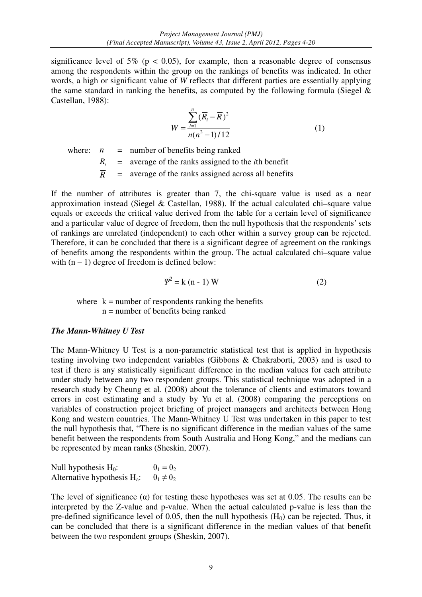significance level of 5% ( $p < 0.05$ ), for example, then a reasonable degree of consensus among the respondents within the group on the rankings of benefits was indicated. In other words, a high or significant value of *W* reflects that different parties are essentially applying the same standard in ranking the benefits, as computed by the following formula (Siegel  $\&$ Castellan, 1988):

$$
W = \frac{\sum_{i=1}^{n} (\overline{R}_{i} - \overline{R})^{2}}{n(n^{2} - 1)/12}
$$
 (1)

where:  $n =$  number of benefits being ranked  $\overline{R_i}$  = average of the ranks assigned to the *i*th benefit  $\overline{R}$  = average of the ranks assigned across all benefits

If the number of attributes is greater than 7, the chi-square value is used as a near approximation instead (Siegel & Castellan, 1988). If the actual calculated chi–square value equals or exceeds the critical value derived from the table for a certain level of significance and a particular value of degree of freedom, then the null hypothesis that the respondents' sets of rankings are unrelated (independent) to each other within a survey group can be rejected. Therefore, it can be concluded that there is a significant degree of agreement on the rankings of benefits among the respondents within the group. The actual calculated chi–square value with  $(n - 1)$  degree of freedom is defined below:

$$
\Psi^2 = k (n - 1) W \tag{2}
$$

where  $k =$  number of respondents ranking the benefits n = number of benefits being ranked

#### *The Mann-Whitney U Test*

The Mann-Whitney U Test is a non-parametric statistical test that is applied in hypothesis testing involving two independent variables (Gibbons & Chakraborti, 2003) and is used to test if there is any statistically significant difference in the median values for each attribute under study between any two respondent groups. This statistical technique was adopted in a research study by Cheung et al*.* (2008) about the tolerance of clients and estimators toward errors in cost estimating and a study by Yu et al. (2008) comparing the perceptions on variables of construction project briefing of project managers and architects between Hong Kong and western countries. The Mann-Whitney U Test was undertaken in this paper to test the null hypothesis that, "There is no significant difference in the median values of the same benefit between the respondents from South Australia and Hong Kong," and the medians can be represented by mean ranks (Sheskin, 2007).

Null hypothesis H<sub>0</sub>:  $\theta_1 = \theta_2$ <br>Alternative hypothesis H<sub>3</sub>:  $\theta_1 \neq \theta_2$ Alternative hypothesis  $H_a$ :

The level of significance  $\alpha$ ) for testing these hypotheses was set at 0.05. The results can be interpreted by the Z-value and p-value. When the actual calculated p-value is less than the pre-defined significance level of 0.05, then the null hypothesis  $(H_0)$  can be rejected. Thus, it can be concluded that there is a significant difference in the median values of that benefit between the two respondent groups (Sheskin, 2007).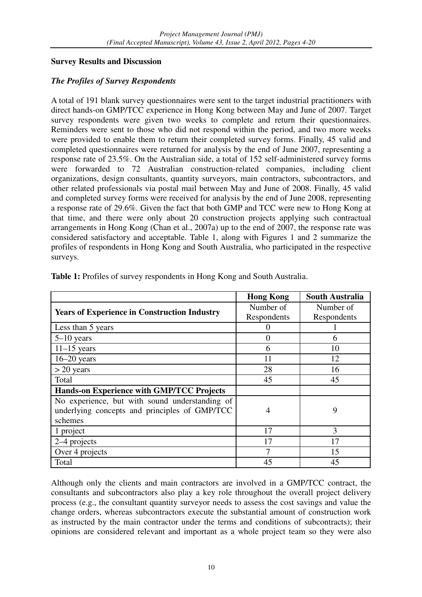# **Survey Results and Discussion**

# *The Profiles of Survey Respondents*

A total of 191 blank survey questionnaires were sent to the target industrial practitioners with direct hands-on GMP/TCC experience in Hong Kong between May and June of 2007. Target survey respondents were given two weeks to complete and return their questionnaires. Reminders were sent to those who did not respond within the period, and two more weeks were provided to enable them to return their completed survey forms. Finally, 45 valid and completed questionnaires were returned for analysis by the end of June 2007, representing a response rate of 23.5%. On the Australian side, a total of 152 self-administered survey forms were forwarded to 72 Australian construction-related companies, including client organizations, design consultants, quantity surveyors, main contractors, subcontractors, and other related professionals via postal mail between May and June of 2008. Finally, 45 valid and completed survey forms were received for analysis by the end of June 2008, representing a response rate of 29.6%. Given the fact that both GMP and TCC were new to Hong Kong at that time, and there were only about 20 construction projects applying such contractual arrangements in Hong Kong (Chan et al., 2007a) up to the end of 2007, the response rate was considered satisfactory and acceptable. Table 1, along with Figures 1 and 2 summarize the profiles of respondents in Hong Kong and South Australia, who participated in the respective surveys.

|                                                     | <b>Hong Kong</b> | <b>South Australia</b> |  |
|-----------------------------------------------------|------------------|------------------------|--|
|                                                     | Number of        | Number of              |  |
| <b>Years of Experience in Construction Industry</b> | Respondents      | Respondents            |  |
| Less than 5 years                                   | $\Omega$         |                        |  |
| $5-10$ years                                        | $\Omega$         | 6                      |  |
| $11-15$ years                                       | 6                | 10                     |  |
| $16-20$ years                                       | 11               | 12                     |  |
| $>$ 20 years                                        | 28               | 16                     |  |
| Total                                               | 45               | 45                     |  |
| <b>Hands-on Experience with GMP/TCC Projects</b>    |                  |                        |  |
| No experience, but with sound understanding of      |                  |                        |  |
| underlying concepts and principles of GMP/TCC       | 4                | 9                      |  |
| schemes                                             |                  |                        |  |
| 1 project                                           | 17               | 3                      |  |
| 2–4 projects                                        | 17               | 17                     |  |
| Over 4 projects                                     | 7                | 15                     |  |
| Total                                               | 45               | 45                     |  |

Table 1: Profiles of survey respondents in Hong Kong and South Australia.

Although only the clients and main contractors are involved in a GMP/TCC contract, the consultants and subcontractors also play a key role throughout the overall project delivery process (e.g., the consultant quantity surveyor needs to assess the cost savings and value the change orders, whereas subcontractors execute the substantial amount of construction work as instructed by the main contractor under the terms and conditions of subcontracts); their opinions are considered relevant and important as a whole project team so they were also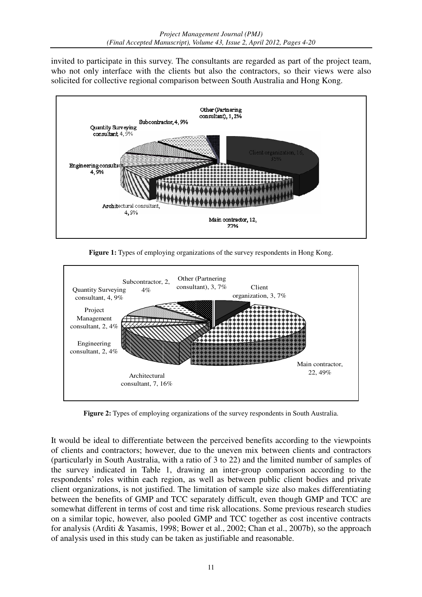invited to participate in this survey. The consultants are regarded as part of the project team, who not only interface with the clients but also the contractors, so their views were also solicited for collective regional comparison between South Australia and Hong Kong.



**Figure 1:** Types of employing organizations of the survey respondents in Hong Kong.



**Figure 2:** Types of employing organizations of the survey respondents in South Australia.

It would be ideal to differentiate between the perceived benefits according to the viewpoints of clients and contractors; however, due to the uneven mix between clients and contractors (particularly in South Australia, with a ratio of 3 to 22) and the limited number of samples of the survey indicated in Table 1, drawing an inter-group comparison according to the respondents' roles within each region, as well as between public client bodies and private client organizations, is not justified. The limitation of sample size also makes differentiating between the benefits of GMP and TCC separately difficult, even though GMP and TCC are somewhat different in terms of cost and time risk allocations. Some previous research studies on a similar topic, however, also pooled GMP and TCC together as cost incentive contracts for analysis (Arditi & Yasamis, 1998; Bower et al., 2002; Chan et al., 2007b), so the approach of analysis used in this study can be taken as justifiable and reasonable.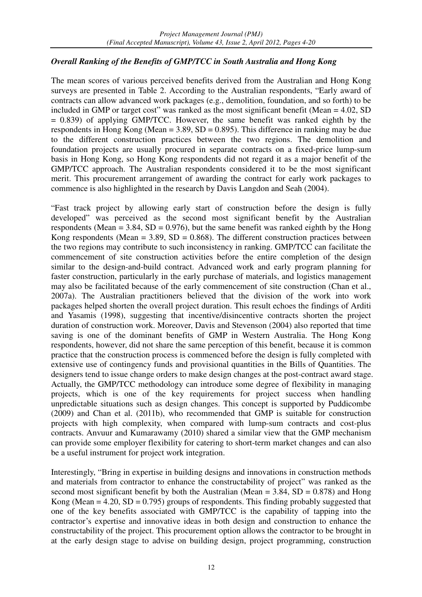# *Overall Ranking of the Benefits of GMP/TCC in South Australia and Hong Kong*

The mean scores of various perceived benefits derived from the Australian and Hong Kong surveys are presented in Table 2. According to the Australian respondents, "Early award of contracts can allow advanced work packages (e.g., demolition, foundation, and so forth) to be included in GMP or target cost" was ranked as the most significant benefit (Mean = 4.02, SD  $= 0.839$ ) of applying GMP/TCC. However, the same benefit was ranked eighth by the respondents in Hong Kong (Mean =  $3.89$ , SD = 0.895). This difference in ranking may be due to the different construction practices between the two regions. The demolition and foundation projects are usually procured in separate contracts on a fixed-price lump-sum basis in Hong Kong, so Hong Kong respondents did not regard it as a major benefit of the GMP/TCC approach. The Australian respondents considered it to be the most significant merit. This procurement arrangement of awarding the contract for early work packages to commence is also highlighted in the research by Davis Langdon and Seah (2004).

"Fast track project by allowing early start of construction before the design is fully developed" was perceived as the second most significant benefit by the Australian respondents (Mean =  $3.84$ , SD = 0.976), but the same benefit was ranked eighth by the Hong Kong respondents (Mean  $= 3.89$ , SD  $= 0.868$ ). The different construction practices between the two regions may contribute to such inconsistency in ranking. GMP/TCC can facilitate the commencement of site construction activities before the entire completion of the design similar to the design-and-build contract. Advanced work and early program planning for faster construction, particularly in the early purchase of materials, and logistics management may also be facilitated because of the early commencement of site construction (Chan et al., 2007a). The Australian practitioners believed that the division of the work into work packages helped shorten the overall project duration. This result echoes the findings of Arditi and Yasamis (1998), suggesting that incentive/disincentive contracts shorten the project duration of construction work. Moreover, Davis and Stevenson (2004) also reported that time saving is one of the dominant benefits of GMP in Western Australia. The Hong Kong respondents, however, did not share the same perception of this benefit, because it is common practice that the construction process is commenced before the design is fully completed with extensive use of contingency funds and provisional quantities in the Bills of Quantities. The designers tend to issue change orders to make design changes at the post-contract award stage. Actually, the GMP/TCC methodology can introduce some degree of flexibility in managing projects, which is one of the key requirements for project success when handling unpredictable situations such as design changes. This concept is supported by Puddicombe (2009) and Chan et al. (2011b), who recommended that GMP is suitable for construction projects with high complexity, when compared with lump-sum contracts and cost-plus contracts. Anvuur and Kumarawamy (2010) shared a similar view that the GMP mechanism can provide some employer flexibility for catering to short-term market changes and can also be a useful instrument for project work integration.

Interestingly, "Bring in expertise in building designs and innovations in construction methods and materials from contractor to enhance the constructability of project" was ranked as the second most significant benefit by both the Australian (Mean  $= 3.84$ , SD  $= 0.878$ ) and Hong Kong (Mean  $= 4.20$ , SD  $= 0.795$ ) groups of respondents. This finding probably suggested that one of the key benefits associated with GMP/TCC is the capability of tapping into the contractor's expertise and innovative ideas in both design and construction to enhance the constructability of the project. This procurement option allows the contractor to be brought in at the early design stage to advise on building design, project programming, construction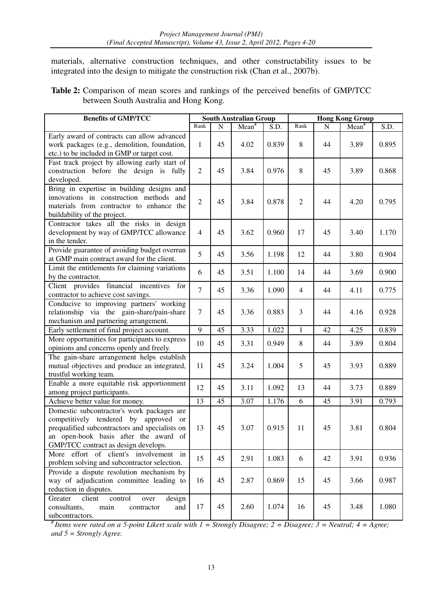materials, alternative construction techniques, and other constructability issues to be integrated into the design to mitigate the construction risk (Chan et al., 2007b).

**Table 2:** Comparison of mean scores and rankings of the perceived benefits of GMP/TCC between South Australia and Hong Kong.

| <b>Benefits of GMP/TCC</b>                                                                                                                                                                                             | <b>South Australian Group</b> |             |                  | <b>Hong Kong Group</b> |                |             |          |       |
|------------------------------------------------------------------------------------------------------------------------------------------------------------------------------------------------------------------------|-------------------------------|-------------|------------------|------------------------|----------------|-------------|----------|-------|
|                                                                                                                                                                                                                        | Rank                          | $\mathbf N$ | $Mean^*$<br>S.D. |                        | Rank           | $\mathbf N$ | $Mean^*$ | S.D.  |
| Early award of contracts can allow advanced<br>work packages (e.g., demolition, foundation,<br>etc.) to be included in GMP or target cost.                                                                             | $\mathbf{1}$                  | 45          | 4.02             | 0.839                  | 8              | 44          | 3.89     | 0.895 |
| Fast track project by allowing early start of<br>construction before the design is fully<br>developed.                                                                                                                 | $\overline{2}$                | 45          | 3.84             | 0.976                  | 8              | 45          | 3.89     | 0.868 |
| Bring in expertise in building designs and<br>innovations in construction methods and<br>materials from contractor to enhance the<br>buildability of the project.                                                      | $\overline{2}$                | 45          | 3.84             | 0.878                  | $\overline{2}$ | 44          | 4.20     | 0.795 |
| Contractor takes all the risks in design<br>development by way of GMP/TCC allowance<br>in the tender.                                                                                                                  | $\overline{4}$                | 45          | 3.62             | 0.960                  | 17             | 45          | 3.40     | 1.170 |
| Provide guarantee of avoiding budget overrun<br>at GMP main contract award for the client.                                                                                                                             | 5                             | 45          | 3.56             | 1.198                  | 12             | 44          | 3.80     | 0.904 |
| Limit the entitlements for claiming variations<br>by the contractor.                                                                                                                                                   | 6                             | 45          | 3.51             | 1.100                  | 14             | 44          | 3.69     | 0.900 |
| Client provides financial incentives<br>for<br>contractor to achieve cost savings.                                                                                                                                     | $\overline{7}$                | 45          | 3.36             | 1.090                  | $\overline{4}$ | 44          | 4.11     | 0.775 |
| Conducive to improving partners' working<br>relationship via the gain-share/pain-share<br>mechanism and partnering arrangement.                                                                                        | 7                             | 45          | 3.36             | 0.883                  | 3              | 44          | 4.16     | 0.928 |
| Early settlement of final project account.                                                                                                                                                                             | 9                             | 45          | 3.33             | 1.022                  | $\mathbf{1}$   | 42          | 4.25     | 0.839 |
| More opportunities for participants to express<br>opinions and concerns openly and freely.                                                                                                                             | 10                            | 45          | 3.31             | 0.949                  | 8              | 44          | 3.89     | 0.804 |
| The gain-share arrangement helps establish<br>mutual objectives and produce an integrated,<br>trustful working team.                                                                                                   | 11                            | 45          | 3.24             | 1.004                  | 5              | 45          | 3.93     | 0.889 |
| Enable a more equitable risk apportionment<br>among project participants.                                                                                                                                              | 12                            | 45          | 3.11             | 1.092                  | 13             | 44          | 3.73     | 0.889 |
| Achieve better value for money.                                                                                                                                                                                        | 13                            | 45          | 3.07             | 1.176                  | 6              | 45          | 3.91     | 0.793 |
| Domestic subcontractor's work packages are<br>competitively tendered by approved or<br>prequalified subcontractors and specialists on<br>an open-book basis after the award of<br>GMP/TCC contract as design develops. | 13                            | 45          | 3.07             | 0.915                  | 11             | 45          | 3.81     | 0.804 |
| More effort of client's involvement in<br>problem solving and subcontractor selection.                                                                                                                                 | 15                            | 45          | 2.91             | 1.083                  | 6              | 42          | 3.91     | 0.936 |
| Provide a dispute resolution mechanism by<br>way of adjudication committee leading to<br>reduction in disputes.                                                                                                        | 16                            | 45          | 2.87             | 0.869                  | 15             | 45          | 3.66     | 0.987 |
| Greater<br>control<br>client<br>over<br>design<br>consultants,<br>main<br>contractor<br>and<br>subcontractors.                                                                                                         | 17                            | 45          | 2.60             | 1.074                  | 16             | 45          | 3.48     | 1.080 |

*# Items were rated on a 5-point Likert scale with 1 = Strongly Disagree; 2 = Disagree; 3 = Neutral; 4 = Agree; and 5 = Strongly Agree.*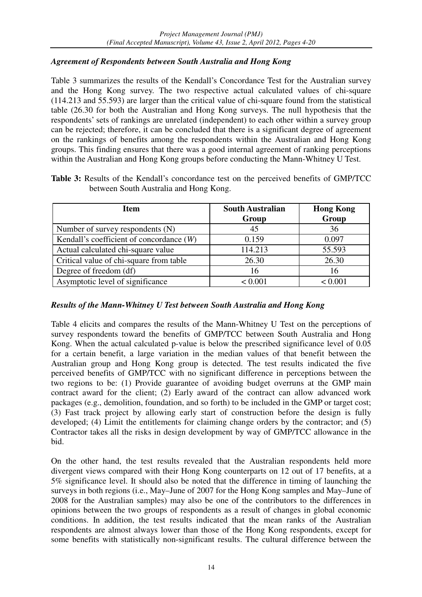# *Agreement of Respondents between South Australia and Hong Kong*

Table 3 summarizes the results of the Kendall's Concordance Test for the Australian survey and the Hong Kong survey. The two respective actual calculated values of chi-square (114.213 and 55.593) are larger than the critical value of chi-square found from the statistical table (26.30 for both the Australian and Hong Kong surveys. The null hypothesis that the respondents' sets of rankings are unrelated (independent) to each other within a survey group can be rejected; therefore, it can be concluded that there is a significant degree of agreement on the rankings of benefits among the respondents within the Australian and Hong Kong groups. This finding ensures that there was a good internal agreement of ranking perceptions within the Australian and Hong Kong groups before conducting the Mann-Whitney U Test.

|  |  | <b>Table 3:</b> Results of the Kendall's concordance test on the perceived benefits of GMP/TCC |  |  |  |  |
|--|--|------------------------------------------------------------------------------------------------|--|--|--|--|
|  |  | between South Australia and Hong Kong.                                                         |  |  |  |  |

| <b>Item</b>                              | <b>South Australian</b><br>Group | <b>Hong Kong</b><br>Group |
|------------------------------------------|----------------------------------|---------------------------|
| Number of survey respondents (N)         | 45                               | 36                        |
| Kendall's coefficient of concordance (W) | 0.159                            | 0.097                     |
| Actual calculated chi-square value       | 114.213                          | 55.593                    |
| Critical value of chi-square from table  | 26.30                            | 26.30                     |
| Degree of freedom (df)                   | 16                               | 16                        |
| Asymptotic level of significance         | < 0.001                          | < 0.001                   |

# *Results of the Mann-Whitney U Test between South Australia and Hong Kong*

Table 4 elicits and compares the results of the Mann-Whitney U Test on the perceptions of survey respondents toward the benefits of GMP/TCC between South Australia and Hong Kong. When the actual calculated p-value is below the prescribed significance level of 0.05 for a certain benefit, a large variation in the median values of that benefit between the Australian group and Hong Kong group is detected. The test results indicated the five perceived benefits of GMP/TCC with no significant difference in perceptions between the two regions to be: (1) Provide guarantee of avoiding budget overruns at the GMP main contract award for the client; (2) Early award of the contract can allow advanced work packages (e.g., demolition, foundation, and so forth) to be included in the GMP or target cost; (3) Fast track project by allowing early start of construction before the design is fully developed; (4) Limit the entitlements for claiming change orders by the contractor; and (5) Contractor takes all the risks in design development by way of GMP/TCC allowance in the bid.

On the other hand, the test results revealed that the Australian respondents held more divergent views compared with their Hong Kong counterparts on 12 out of 17 benefits, at a 5% significance level. It should also be noted that the difference in timing of launching the surveys in both regions (i.e., May–June of 2007 for the Hong Kong samples and May–June of 2008 for the Australian samples) may also be one of the contributors to the differences in opinions between the two groups of respondents as a result of changes in global economic conditions. In addition, the test results indicated that the mean ranks of the Australian respondents are almost always lower than those of the Hong Kong respondents, except for some benefits with statistically non-significant results. The cultural difference between the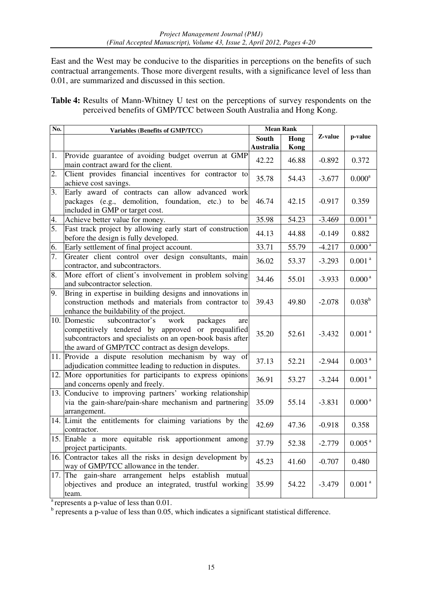East and the West may be conducive to the disparities in perceptions on the benefits of such contractual arrangements. Those more divergent results, with a significance level of less than 0.01, are summarized and discussed in this section.

**Table 4:** Results of Mann-Whitney U test on the perceptions of survey respondents on the perceived benefits of GMP/TCC between South Australia and Hong Kong.

| No. | Variables (Benefits of GMP/TCC)                                                                                                                                                                                                     | <b>Mean Rank</b>          |                     |          |                       |  |
|-----|-------------------------------------------------------------------------------------------------------------------------------------------------------------------------------------------------------------------------------------|---------------------------|---------------------|----------|-----------------------|--|
|     |                                                                                                                                                                                                                                     | <b>South</b><br>Australia | Hong<br><b>Kong</b> | Z-value  | p-value               |  |
| 1.  | Provide guarantee of avoiding budget overrun at GMP<br>main contract award for the client.                                                                                                                                          | 42.22                     | 46.88               | $-0.892$ | 0.372                 |  |
| 2.  | Client provides financial incentives for contractor to<br>achieve cost savings.                                                                                                                                                     | 35.78                     | 54.43               | $-3.677$ | $0.000^a$             |  |
| 3.  | Early award of contracts can allow advanced work<br>packages (e.g., demolition, foundation, etc.) to be<br>included in GMP or target cost.                                                                                          | 46.74                     | 42.15               | $-0.917$ | 0.359                 |  |
| 4.  | Achieve better value for money.                                                                                                                                                                                                     | 35.98                     | 54.23               | $-3.469$ | $0.001$ <sup>a</sup>  |  |
| 5.  | Fast track project by allowing early start of construction<br>before the design is fully developed.                                                                                                                                 | 44.13                     | 44.88               | $-0.149$ | 0.882                 |  |
| 6.  | Early settlement of final project account.                                                                                                                                                                                          | 33.71                     | 55.79               | $-4.217$ | 0.000 <sup>a</sup>    |  |
| 7.  | Greater client control over design consultants, main<br>contractor, and subcontractors.                                                                                                                                             | 36.02                     | 53.37               | $-3.293$ | $0.001$ $^{\rm a}$    |  |
| 8.  | More effort of client's involvement in problem solving<br>and subcontractor selection.                                                                                                                                              | 34.46                     | 55.01               | $-3.933$ | 0.000 <sup>a</sup>    |  |
| 9.  | Bring in expertise in building designs and innovations in<br>construction methods and materials from contractor to<br>enhance the buildability of the project.                                                                      | 39.43                     | 49.80               | $-2.078$ | $0.038^{b}$           |  |
|     | 10. Domestic<br>subcontractor's<br>work<br>packages<br>are<br>competitively tendered by approved or prequalified<br>subcontractors and specialists on an open-book basis after<br>the award of GMP/TCC contract as design develops. | 35.20                     | 52.61               | $-3.432$ | 0.001 <sup>a</sup>    |  |
|     | 11. Provide a dispute resolution mechanism by way of<br>adjudication committee leading to reduction in disputes.                                                                                                                    | 37.13                     | 52.21               | $-2.944$ | 0.003 <sup>a</sup>    |  |
|     | 12. More opportunities for participants to express opinions<br>and concerns openly and freely.                                                                                                                                      | 36.91                     | 53.27               | $-3.244$ | 0.001 <sup>a</sup>    |  |
|     | 13. Conducive to improving partners' working relationship<br>via the gain-share/pain-share mechanism and partnering<br>arrangement.                                                                                                 | 35.09                     | 55.14               | $-3.831$ | 0.000 <sup>a</sup>    |  |
|     | 14. Limit the entitlements for claiming variations by the<br>contractor.                                                                                                                                                            | 42.69                     | 47.36               | $-0.918$ | 0.358                 |  |
|     | 15. Enable a more equitable risk apportionment among<br>project participants.                                                                                                                                                       | 37.79                     | 52.38               | $-2.779$ | $0.005$ $\mathrm{^a}$ |  |
|     | 16. Contractor takes all the risks in design development by<br>way of GMP/TCC allowance in the tender.                                                                                                                              | 45.23                     | 41.60               | $-0.707$ | 0.480                 |  |
|     | 17. The gain-share arrangement helps establish mutual<br>objectives and produce an integrated, trustful working<br>team.                                                                                                            | 35.99                     | 54.22               | $-3.479$ | $0.001$ <sup>a</sup>  |  |

 $a$ <sup>a</sup> represents a p-value of less than  $0.01$ .

<sup>b</sup> represents a p-value of less than 0.05, which indicates a significant statistical difference.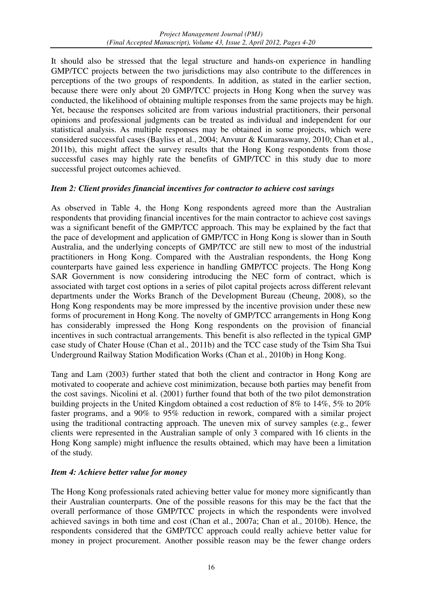It should also be stressed that the legal structure and hands-on experience in handling GMP/TCC projects between the two jurisdictions may also contribute to the differences in perceptions of the two groups of respondents. In addition, as stated in the earlier section, because there were only about 20 GMP/TCC projects in Hong Kong when the survey was conducted, the likelihood of obtaining multiple responses from the same projects may be high. Yet, because the responses solicited are from various industrial practitioners, their personal opinions and professional judgments can be treated as individual and independent for our statistical analysis. As multiple responses may be obtained in some projects, which were considered successful cases (Bayliss et al., 2004; Anvuur & Kumaraswamy, 2010; Chan et al., 2011b), this might affect the survey results that the Hong Kong respondents from those successful cases may highly rate the benefits of GMP/TCC in this study due to more successful project outcomes achieved.

# *Item 2: Client provides financial incentives for contractor to achieve cost savings*

As observed in Table 4, the Hong Kong respondents agreed more than the Australian respondents that providing financial incentives for the main contractor to achieve cost savings was a significant benefit of the GMP/TCC approach. This may be explained by the fact that the pace of development and application of GMP/TCC in Hong Kong is slower than in South Australia, and the underlying concepts of GMP/TCC are still new to most of the industrial practitioners in Hong Kong. Compared with the Australian respondents, the Hong Kong counterparts have gained less experience in handling GMP/TCC projects. The Hong Kong SAR Government is now considering introducing the NEC form of contract, which is associated with target cost options in a series of pilot capital projects across different relevant departments under the Works Branch of the Development Bureau (Cheung, 2008), so the Hong Kong respondents may be more impressed by the incentive provision under these new forms of procurement in Hong Kong. The novelty of GMP/TCC arrangements in Hong Kong has considerably impressed the Hong Kong respondents on the provision of financial incentives in such contractual arrangements. This benefit is also reflected in the typical GMP case study of Chater House (Chan et al., 2011b) and the TCC case study of the Tsim Sha Tsui Underground Railway Station Modification Works (Chan et al*.*, 2010b) in Hong Kong.

Tang and Lam (2003) further stated that both the client and contractor in Hong Kong are motivated to cooperate and achieve cost minimization, because both parties may benefit from the cost savings. Nicolini et al. (2001) further found that both of the two pilot demonstration building projects in the United Kingdom obtained a cost reduction of 8% to 14%, 5% to 20% faster programs, and a 90% to 95% reduction in rework, compared with a similar project using the traditional contracting approach. The uneven mix of survey samples (e.g., fewer clients were represented in the Australian sample of only 3 compared with 16 clients in the Hong Kong sample) might influence the results obtained, which may have been a limitation of the study.

#### *Item 4: Achieve better value for money*

The Hong Kong professionals rated achieving better value for money more significantly than their Australian counterparts. One of the possible reasons for this may be the fact that the overall performance of those GMP/TCC projects in which the respondents were involved achieved savings in both time and cost (Chan et al., 2007a; Chan et al., 2010b). Hence, the respondents considered that the GMP/TCC approach could really achieve better value for money in project procurement. Another possible reason may be the fewer change orders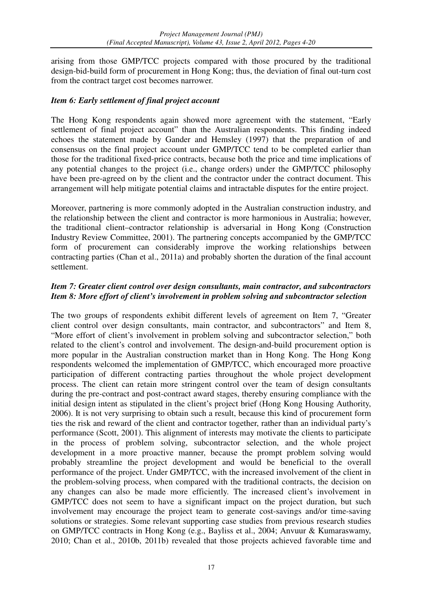arising from those GMP/TCC projects compared with those procured by the traditional design-bid-build form of procurement in Hong Kong; thus, the deviation of final out-turn cost from the contract target cost becomes narrower.

#### *Item 6: Early settlement of final project account*

The Hong Kong respondents again showed more agreement with the statement, "Early settlement of final project account" than the Australian respondents. This finding indeed echoes the statement made by Gander and Hemsley (1997) that the preparation of and consensus on the final project account under GMP/TCC tend to be completed earlier than those for the traditional fixed-price contracts, because both the price and time implications of any potential changes to the project (i.e., change orders) under the GMP/TCC philosophy have been pre-agreed on by the client and the contractor under the contract document. This arrangement will help mitigate potential claims and intractable disputes for the entire project.

Moreover, partnering is more commonly adopted in the Australian construction industry, and the relationship between the client and contractor is more harmonious in Australia; however, the traditional client–contractor relationship is adversarial in Hong Kong (Construction Industry Review Committee, 2001). The partnering concepts accompanied by the GMP/TCC form of procurement can considerably improve the working relationships between contracting parties (Chan et al., 2011a) and probably shorten the duration of the final account settlement.

# *Item 7: Greater client control over design consultants, main contractor, and subcontractors Item 8: More effort of client's involvement in problem solving and subcontractor selection*

The two groups of respondents exhibit different levels of agreement on Item 7, "Greater client control over design consultants, main contractor, and subcontractors" and Item 8, "More effort of client's involvement in problem solving and subcontractor selection," both related to the client's control and involvement. The design-and-build procurement option is more popular in the Australian construction market than in Hong Kong. The Hong Kong respondents welcomed the implementation of GMP/TCC, which encouraged more proactive participation of different contracting parties throughout the whole project development process. The client can retain more stringent control over the team of design consultants during the pre-contract and post-contract award stages, thereby ensuring compliance with the initial design intent as stipulated in the client's project brief (Hong Kong Housing Authority, 2006). It is not very surprising to obtain such a result, because this kind of procurement form ties the risk and reward of the client and contractor together, rather than an individual party's performance (Scott, 2001). This alignment of interests may motivate the clients to participate in the process of problem solving, subcontractor selection, and the whole project development in a more proactive manner, because the prompt problem solving would probably streamline the project development and would be beneficial to the overall performance of the project. Under GMP/TCC, with the increased involvement of the client in the problem-solving process, when compared with the traditional contracts, the decision on any changes can also be made more efficiently. The increased client's involvement in GMP/TCC does not seem to have a significant impact on the project duration, but such involvement may encourage the project team to generate cost-savings and/or time-saving solutions or strategies. Some relevant supporting case studies from previous research studies on GMP/TCC contracts in Hong Kong (e.g., Bayliss et al., 2004; Anvuur & Kumaraswamy, 2010; Chan et al., 2010b, 2011b) revealed that those projects achieved favorable time and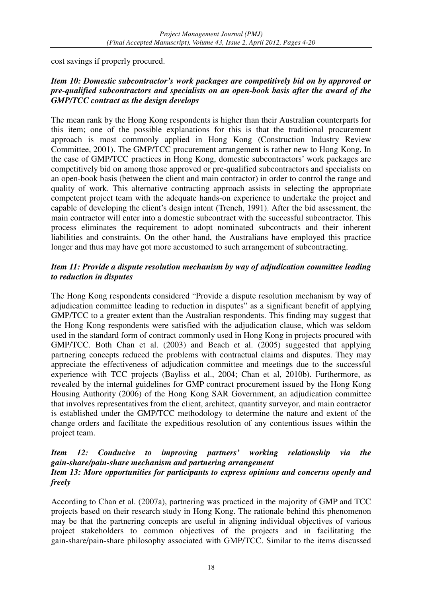cost savings if properly procured.

# *Item 10: Domestic subcontractor's work packages are competitively bid on by approved or pre-qualified subcontractors and specialists on an open-book basis after the award of the GMP/TCC contract as the design develops*

The mean rank by the Hong Kong respondents is higher than their Australian counterparts for this item; one of the possible explanations for this is that the traditional procurement approach is most commonly applied in Hong Kong (Construction Industry Review Committee, 2001). The GMP/TCC procurement arrangement is rather new to Hong Kong. In the case of GMP/TCC practices in Hong Kong, domestic subcontractors' work packages are competitively bid on among those approved or pre-qualified subcontractors and specialists on an open-book basis (between the client and main contractor) in order to control the range and quality of work. This alternative contracting approach assists in selecting the appropriate competent project team with the adequate hands-on experience to undertake the project and capable of developing the client's design intent (Trench, 1991). After the bid assessment, the main contractor will enter into a domestic subcontract with the successful subcontractor. This process eliminates the requirement to adopt nominated subcontracts and their inherent liabilities and constraints. On the other hand, the Australians have employed this practice longer and thus may have got more accustomed to such arrangement of subcontracting.

# *Item 11: Provide a dispute resolution mechanism by way of adjudication committee leading to reduction in disputes*

The Hong Kong respondents considered "Provide a dispute resolution mechanism by way of adjudication committee leading to reduction in disputes" as a significant benefit of applying GMP/TCC to a greater extent than the Australian respondents. This finding may suggest that the Hong Kong respondents were satisfied with the adjudication clause, which was seldom used in the standard form of contract commonly used in Hong Kong in projects procured with GMP/TCC. Both Chan et al. (2003) and Beach et al. (2005) suggested that applying partnering concepts reduced the problems with contractual claims and disputes. They may appreciate the effectiveness of adjudication committee and meetings due to the successful experience with TCC projects (Bayliss et al., 2004; Chan et al, 2010b). Furthermore, as revealed by the internal guidelines for GMP contract procurement issued by the Hong Kong Housing Authority (2006) of the Hong Kong SAR Government, an adjudication committee that involves representatives from the client, architect, quantity surveyor, and main contractor is established under the GMP/TCC methodology to determine the nature and extent of the change orders and facilitate the expeditious resolution of any contentious issues within the project team.

#### *Item 12: Conducive to improving partners' working relationship via the gain-share/pain-share mechanism and partnering arrangement Item 13: More opportunities for participants to express opinions and concerns openly and freely*

According to Chan et al. (2007a), partnering was practiced in the majority of GMP and TCC projects based on their research study in Hong Kong. The rationale behind this phenomenon may be that the partnering concepts are useful in aligning individual objectives of various project stakeholders to common objectives of the projects and in facilitating the gain-share/pain-share philosophy associated with GMP/TCC. Similar to the items discussed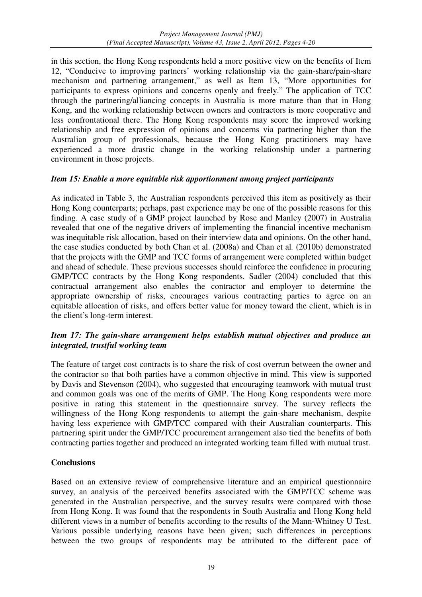in this section, the Hong Kong respondents held a more positive view on the benefits of Item 12, "Conducive to improving partners' working relationship via the gain-share/pain-share mechanism and partnering arrangement," as well as Item 13, "More opportunities for participants to express opinions and concerns openly and freely." The application of TCC through the partnering/alliancing concepts in Australia is more mature than that in Hong Kong, and the working relationship between owners and contractors is more cooperative and less confrontational there. The Hong Kong respondents may score the improved working relationship and free expression of opinions and concerns via partnering higher than the Australian group of professionals, because the Hong Kong practitioners may have experienced a more drastic change in the working relationship under a partnering environment in those projects.

#### *Item 15: Enable a more equitable risk apportionment among project participants*

As indicated in Table 3, the Australian respondents perceived this item as positively as their Hong Kong counterparts; perhaps, past experience may be one of the possible reasons for this finding. A case study of a GMP project launched by Rose and Manley (2007) in Australia revealed that one of the negative drivers of implementing the financial incentive mechanism was inequitable risk allocation, based on their interview data and opinions. On the other hand, the case studies conducted by both Chan et al. (2008a) and Chan et al*.* (2010b) demonstrated that the projects with the GMP and TCC forms of arrangement were completed within budget and ahead of schedule. These previous successes should reinforce the confidence in procuring GMP/TCC contracts by the Hong Kong respondents. Sadler (2004) concluded that this contractual arrangement also enables the contractor and employer to determine the appropriate ownership of risks, encourages various contracting parties to agree on an equitable allocation of risks, and offers better value for money toward the client, which is in the client's long-term interest.

#### *Item 17: The gain-share arrangement helps establish mutual objectives and produce an integrated, trustful working team*

The feature of target cost contracts is to share the risk of cost overrun between the owner and the contractor so that both parties have a common objective in mind. This view is supported by Davis and Stevenson (2004), who suggested that encouraging teamwork with mutual trust and common goals was one of the merits of GMP. The Hong Kong respondents were more positive in rating this statement in the questionnaire survey. The survey reflects the willingness of the Hong Kong respondents to attempt the gain-share mechanism, despite having less experience with GMP/TCC compared with their Australian counterparts. This partnering spirit under the GMP/TCC procurement arrangement also tied the benefits of both contracting parties together and produced an integrated working team filled with mutual trust.

# **Conclusions**

Based on an extensive review of comprehensive literature and an empirical questionnaire survey, an analysis of the perceived benefits associated with the GMP/TCC scheme was generated in the Australian perspective, and the survey results were compared with those from Hong Kong. It was found that the respondents in South Australia and Hong Kong held different views in a number of benefits according to the results of the Mann-Whitney U Test. Various possible underlying reasons have been given; such differences in perceptions between the two groups of respondents may be attributed to the different pace of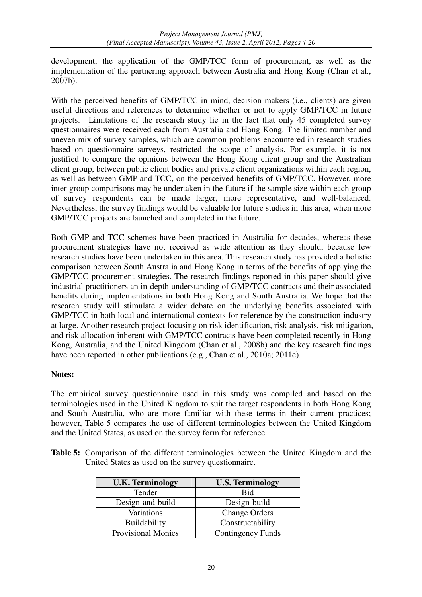development, the application of the GMP/TCC form of procurement, as well as the implementation of the partnering approach between Australia and Hong Kong (Chan et al., 2007b).

With the perceived benefits of GMP/TCC in mind, decision makers (i.e., clients) are given useful directions and references to determine whether or not to apply GMP/TCC in future projects. Limitations of the research study lie in the fact that only 45 completed survey questionnaires were received each from Australia and Hong Kong. The limited number and uneven mix of survey samples, which are common problems encountered in research studies based on questionnaire surveys, restricted the scope of analysis. For example, it is not justified to compare the opinions between the Hong Kong client group and the Australian client group, between public client bodies and private client organizations within each region, as well as between GMP and TCC, on the perceived benefits of GMP/TCC. However, more inter-group comparisons may be undertaken in the future if the sample size within each group of survey respondents can be made larger, more representative, and well-balanced. Nevertheless, the survey findings would be valuable for future studies in this area, when more GMP/TCC projects are launched and completed in the future.

Both GMP and TCC schemes have been practiced in Australia for decades, whereas these procurement strategies have not received as wide attention as they should, because few research studies have been undertaken in this area. This research study has provided a holistic comparison between South Australia and Hong Kong in terms of the benefits of applying the GMP/TCC procurement strategies. The research findings reported in this paper should give industrial practitioners an in-depth understanding of GMP/TCC contracts and their associated benefits during implementations in both Hong Kong and South Australia. We hope that the research study will stimulate a wider debate on the underlying benefits associated with GMP/TCC in both local and international contexts for reference by the construction industry at large. Another research project focusing on risk identification, risk analysis, risk mitigation, and risk allocation inherent with GMP/TCC contracts have been completed recently in Hong Kong, Australia, and the United Kingdom (Chan et al*.*, 2008b) and the key research findings have been reported in other publications (e.g., Chan et al., 2010a; 2011c).

# **Notes:**

The empirical survey questionnaire used in this study was compiled and based on the terminologies used in the United Kingdom to suit the target respondents in both Hong Kong and South Australia, who are more familiar with these terms in their current practices; however, Table 5 compares the use of different terminologies between the United Kingdom and the United States, as used on the survey form for reference.

**Table 5:** Comparison of the different terminologies between the United Kingdom and the United States as used on the survey questionnaire.

| <b>U.K. Terminology</b>   | <b>U.S. Terminology</b>  |  |  |  |
|---------------------------|--------------------------|--|--|--|
| Tender                    | Bid                      |  |  |  |
| Design-and-build          | Design-build             |  |  |  |
| Variations                | <b>Change Orders</b>     |  |  |  |
| Buildability              | Constructability         |  |  |  |
| <b>Provisional Monies</b> | <b>Contingency Funds</b> |  |  |  |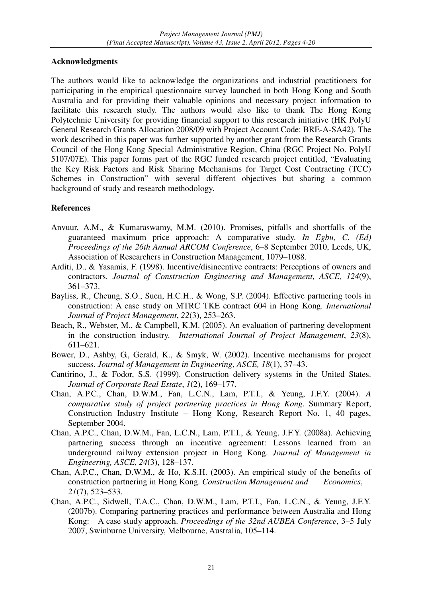# **Acknowledgments**

The authors would like to acknowledge the organizations and industrial practitioners for participating in the empirical questionnaire survey launched in both Hong Kong and South Australia and for providing their valuable opinions and necessary project information to facilitate this research study. The authors would also like to thank The Hong Kong Polytechnic University for providing financial support to this research initiative (HK PolyU General Research Grants Allocation 2008/09 with Project Account Code: BRE-A-SA42). The work described in this paper was further supported by another grant from the Research Grants Council of the Hong Kong Special Administrative Region, China (RGC Project No. PolyU 5107/07E). This paper forms part of the RGC funded research project entitled, "Evaluating the Key Risk Factors and Risk Sharing Mechanisms for Target Cost Contracting (TCC) Schemes in Construction" with several different objectives but sharing a common background of study and research methodology.

# **References**

- Anvuur, A.M., & Kumaraswamy, M.M. (2010). Promises, pitfalls and shortfalls of the guaranteed maximum price approach: A comparative study. *In Egbu, C. (Ed) Proceedings of the 26th Annual ARCOM Conference*, 6–8 September 2010, Leeds, UK, Association of Researchers in Construction Management, 1079–1088.
- Arditi, D., & Yasamis, F. (1998). Incentive/disincentive contracts: Perceptions of owners and contractors. *Journal of Construction Engineering and Management*, *ASCE, 124*(9), 361–373.
- Bayliss, R., Cheung, S.O., Suen, H.C.H., & Wong, S.P. (2004). Effective partnering tools in construction: A case study on MTRC TKE contract 604 in Hong Kong. *International Journal of Project Management*, *22*(3), 253–263.
- Beach, R., Webster, M., & Campbell, K.M. (2005). An evaluation of partnering development in the construction industry. *International Journal of Project Management*, *23*(8), 611–621.
- Bower, D., Ashby, G., Gerald, K., & Smyk, W. (2002). Incentive mechanisms for project success. *Journal of Management in Engineering*, *ASCE, 18*(1), 37–43.
- Cantirino, J., & Fodor, S.S. (1999). Construction delivery systems in the United States. *Journal of Corporate Real Estate*, *1*(2), 169–177.
- Chan, A.P.C., Chan, D.W.M., Fan, L.C.N., Lam, P.T.I., & Yeung, J.F.Y. (2004). *A comparative study of project partnering practices in Hong Kong*. Summary Report, Construction Industry Institute – Hong Kong, Research Report No. 1, 40 pages, September 2004.
- Chan, A.P.C., Chan, D.W.M., Fan, L.C.N., Lam, P.T.I., & Yeung, J.F.Y. (2008a). Achieving partnering success through an incentive agreement: Lessons learned from an underground railway extension project in Hong Kong. *Journal of Management in Engineering, ASCE, 24*(3), 128–137.
- Chan, A.P.C., Chan, D.W.M., & Ho, K.S.H. (2003). An empirical study of the benefits of construction partnering in Hong Kong. *Construction Management and Economics*, *21*(7), 523–533.
- Chan, A.P.C., Sidwell, T.A.C., Chan, D.W.M., Lam, P.T.I., Fan, L.C.N., & Yeung, J.F.Y. (2007b). Comparing partnering practices and performance between Australia and Hong Kong: A case study approach. *Proceedings of the 32nd AUBEA Conference*, 3–5 July 2007, Swinburne University, Melbourne, Australia, 105–114.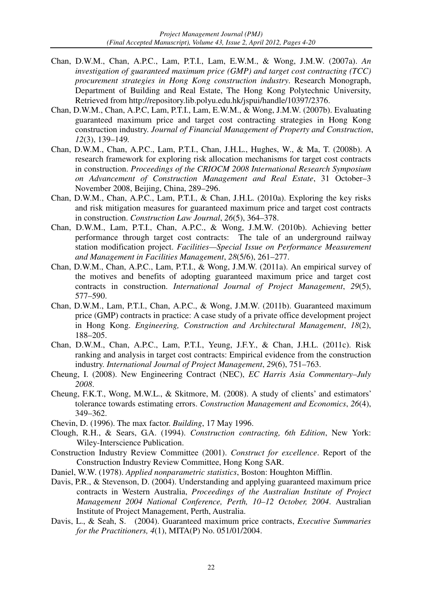- Chan, D.W.M., Chan, A.P.C., Lam, P.T.I., Lam, E.W.M., & Wong, J.M.W. (2007a). *An investigation of guaranteed maximum price (GMP) and target cost contracting (TCC) procurement strategies in Hong Kong construction industry*. Research Monograph, Department of Building and Real Estate, The Hong Kong Polytechnic University, Retrieved from http://repository.lib.polyu.edu.hk/jspui/handle/10397/2376.
- Chan, D.W.M., Chan, A.P.C, Lam, P.T.I., Lam, E.W.M., & Wong, J.M.W. (2007b). Evaluating guaranteed maximum price and target cost contracting strategies in Hong Kong construction industry. *Journal of Financial Management of Property and Construction*, *12*(3), 139–149*.*
- Chan, D.W.M., Chan, A.P.C., Lam, P.T.I., Chan, J.H.L., Hughes, W., & Ma, T. (2008b). A research framework for exploring risk allocation mechanisms for target cost contracts in construction. *Proceedings of the CRIOCM 2008 International Research Symposium on Advancement of Construction Management and Real Estate*, 31 October–3 November 2008, Beijing, China, 289–296.
- Chan, D.W.M., Chan, A.P.C., Lam, P.T.I., & Chan, J.H.L. (2010a). Exploring the key risks and risk mitigation measures for guaranteed maximum price and target cost contracts in construction. *Construction Law Journal*, *26*(5), 364–378.
- Chan, D.W.M., Lam, P.T.I., Chan, A.P.C., & Wong, J.M.W. (2010b). Achieving better performance through target cost contracts: The tale of an underground railway station modification project. *Facilities—Special Issue on Performance Measurement and Management in Facilities Management*, *28*(5/6), 261–277.
- Chan, D.W.M., Chan, A.P.C., Lam, P.T.I., & Wong, J.M.W. (2011a). An empirical survey of the motives and benefits of adopting guaranteed maximum price and target cost contracts in construction. *International Journal of Project Management*, *29*(5), 577–590.
- Chan, D.W.M., Lam, P.T.I., Chan, A.P.C., & Wong, J.M.W. (2011b). Guaranteed maximum price (GMP) contracts in practice: A case study of a private office development project in Hong Kong. *Engineering, Construction and Architectural Management*, *18*(2), 188–205.
- Chan, D.W.M., Chan, A.P.C., Lam, P.T.I., Yeung, J.F.Y., & Chan, J.H.L. (2011c). Risk ranking and analysis in target cost contracts: Empirical evidence from the construction industry. *International Journal of Project Management*, *29*(6), 751–763.
- Cheung, I. (2008). New Engineering Contract (NEC), *EC Harris Asia Commentary–July 2008*.
- Cheung, F.K.T., Wong, M.W.L., & Skitmore, M. (2008). A study of clients' and estimators' tolerance towards estimating errors. *Construction Management and Economics*, *26*(4), 349–362.
- Chevin, D. (1996). The max factor. *Building*, 17 May 1996.
- Clough, R.H., & Sears, G.A. (1994). *Construction contracting, 6th Edition*, New York: Wiley-Interscience Publication.
- Construction Industry Review Committee (2001). *Construct for excellence*. Report of the Construction Industry Review Committee, Hong Kong SAR.
- Daniel, W.W. (1978). *Applied nonparametric statistics*, Boston: Houghton Mifflin.
- Davis, P.R., & Stevenson, D. (2004). Understanding and applying guaranteed maximum price contracts in Western Australia, *Proceedings of the Australian Institute of Project Management 2004 National Conference, Perth, 10–12 October, 2004*. Australian Institute of Project Management, Perth, Australia.
- Davis, L., & Seah, S. (2004). Guaranteed maximum price contracts, *Executive Summaries for the Practitioners, 4*(1), MITA(P) No. 051/01/2004.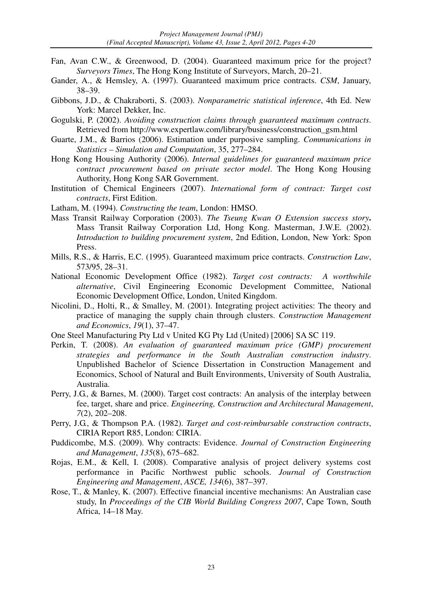- Fan, Avan C.W., & Greenwood, D. (2004). Guaranteed maximum price for the project? *Surveyors Times*, The Hong Kong Institute of Surveyors, March, 20–21.
- Gander, A., & Hemsley, A. (1997). Guaranteed maximum price contracts. *CSM*, January, 38–39.
- Gibbons, J.D., & Chakraborti, S. (2003). *Nonparametric statistical inference*, 4th Ed. New York: Marcel Dekker, Inc.
- Gogulski, P. (2002). *Avoiding construction claims through guaranteed maximum contracts*. Retrieved from http://www.expertlaw.com/library/business/construction\_gsm.html
- Guarte, J.M., & Barrios (2006). Estimation under purposive sampling. *Communications in Statistics – Simulation and Computation*, 35, 277–284.
- Hong Kong Housing Authority (2006). *Internal guidelines for guaranteed maximum price contract procurement based on private sector model*. The Hong Kong Housing Authority, Hong Kong SAR Government.
- Institution of Chemical Engineers (2007). *International form of contract: Target cost contracts*, First Edition.
- Latham, M. (1994). *Constructing the team*, London: HMSO.
- Mass Transit Railway Corporation (2003). *The Tseung Kwan O Extension success story***.** Mass Transit Railway Corporation Ltd, Hong Kong. Masterman, J.W.E. (2002). *Introduction to building procurement system*, 2nd Edition, London, New York: Spon Press.
- Mills, R.S., & Harris, E.C. (1995). Guaranteed maximum price contracts. *Construction Law*, 573/95, 28–31.
- National Economic Development Office (1982). *Target cost contracts: A worthwhile alternative*, Civil Engineering Economic Development Committee, National Economic Development Office, London, United Kingdom.
- Nicolini, D., Holti, R., & Smalley, M. (2001). Integrating project activities: The theory and practice of managing the supply chain through clusters. *Construction Management and Economics*, *19*(1), 37–47.
- One Steel Manufacturing Pty Ltd v United KG Pty Ltd (United) [2006] SA SC 119.
- Perkin, T. (2008). *An evaluation of guaranteed maximum price (GMP) procurement strategies and performance in the South Australian construction industry*. Unpublished Bachelor of Science Dissertation in Construction Management and Economics, School of Natural and Built Environments, University of South Australia, Australia.
- Perry, J.G., & Barnes, M. (2000). Target cost contracts: An analysis of the interplay between fee, target, share and price. *Engineering, Construction and Architectural Management*, *7*(2), 202–208.
- Perry, J.G., & Thompson P.A. (1982). *Target and cost-reimbursable construction contracts*, CIRIA Report R85, London: CIRIA.
- Puddicombe, M.S. (2009). Why contracts: Evidence. *Journal of Construction Engineering and Management*, *135*(8), 675–682.
- Rojas, E.M., & Kell, I. (2008). Comparative analysis of project delivery systems cost performance in Pacific Northwest public schools. *Journal of Construction Engineering and Management*, *ASCE, 134*(6), 387–397.
- Rose, T., & Manley, K. (2007). Effective financial incentive mechanisms: An Australian case study, In *Proceedings of the CIB World Building Congress 2007*, Cape Town, South Africa, 14–18 May.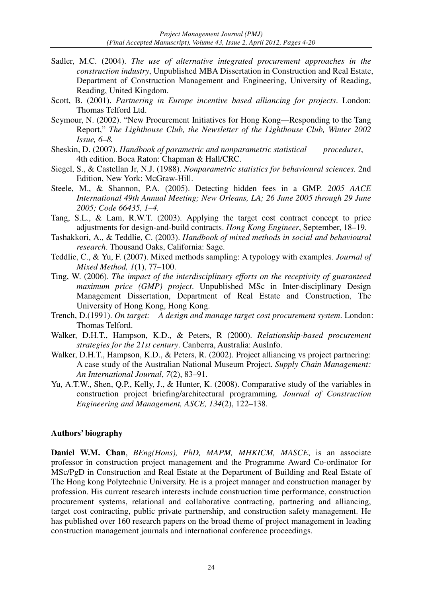- Sadler, M.C. (2004). *The use of alternative integrated procurement approaches in the construction industry*, Unpublished MBA Dissertation in Construction and Real Estate, Department of Construction Management and Engineering, University of Reading, Reading, United Kingdom.
- Scott, B. (2001). *Partnering in Europe incentive based alliancing for projects*. London: Thomas Telford Ltd.
- Seymour, N. (2002). "New Procurement Initiatives for Hong Kong—Responding to the Tang Report," *The Lighthouse Club, the Newsletter of the Lighthouse Club, Winter 2002 Issue, 6–8.*
- Sheskin, D. (2007). *Handbook of parametric and nonparametric statistical procedures*, 4th edition. Boca Raton: Chapman & Hall/CRC.
- Siegel, S., & Castellan Jr, N.J. (1988). *Nonparametric statistics for behavioural sciences.* 2nd Edition, New York: McGraw-Hill.
- Steele, M., & Shannon, P.A. (2005). Detecting hidden fees in a GMP. *2005 AACE International 49th Annual Meeting; New Orleans, LA; 26 June 2005 through 29 June 2005; Code 66435, 1–4.*
- Tang, S.L., & Lam, R.W.T. (2003). Applying the target cost contract concept to price adjustments for design-and-build contracts. *Hong Kong Engineer*, September, 18–19.
- Tashakkori, A., & Teddlie, C. (2003). *Handbook of mixed methods in social and behavioural research*. Thousand Oaks, California: Sage.
- Teddlie, C., & Yu, F. (2007). Mixed methods sampling: A typology with examples. *Journal of Mixed Method, 1*(1), 77–100.
- Ting, W. (2006). *The impact of the interdisciplinary efforts on the receptivity of guaranteed maximum price (GMP) project*. Unpublished MSc in Inter-disciplinary Design Management Dissertation, Department of Real Estate and Construction, The University of Hong Kong, Hong Kong.
- Trench, D.(1991). *On target: A design and manage target cost procurement system*. London: Thomas Telford.
- Walker, D.H.T., Hampson, K.D., & Peters, R (2000). *Relationship-based procurement strategies for the 21st century*. Canberra, Australia: AusInfo.
- Walker, D.H.T., Hampson, K.D., & Peters, R. (2002). Project alliancing vs project partnering: A case study of the Australian National Museum Project. *Supply Chain Management: An International Journal*, *7*(2), 83–91.
- Yu, A.T.W., Shen, Q.P., Kelly, J., & Hunter, K. (2008). Comparative study of the variables in construction project briefing/architectural programming*. Journal of Construction Engineering and Management, ASCE, 134*(2), 122–138.

#### **Authors' biography**

**Daniel W.M. Chan**, *BEng(Hons), PhD, MAPM, MHKICM, MASCE*, is an associate professor in construction project management and the Programme Award Co-ordinator for MSc/PgD in Construction and Real Estate at the Department of Building and Real Estate of The Hong kong Polytechnic University. He is a project manager and construction manager by profession. His current research interests include construction time performance, construction procurement systems, relational and collaborative contracting, partnering and alliancing, target cost contracting, public private partnership, and construction safety management. He has published over 160 research papers on the broad theme of project management in leading construction management journals and international conference proceedings.